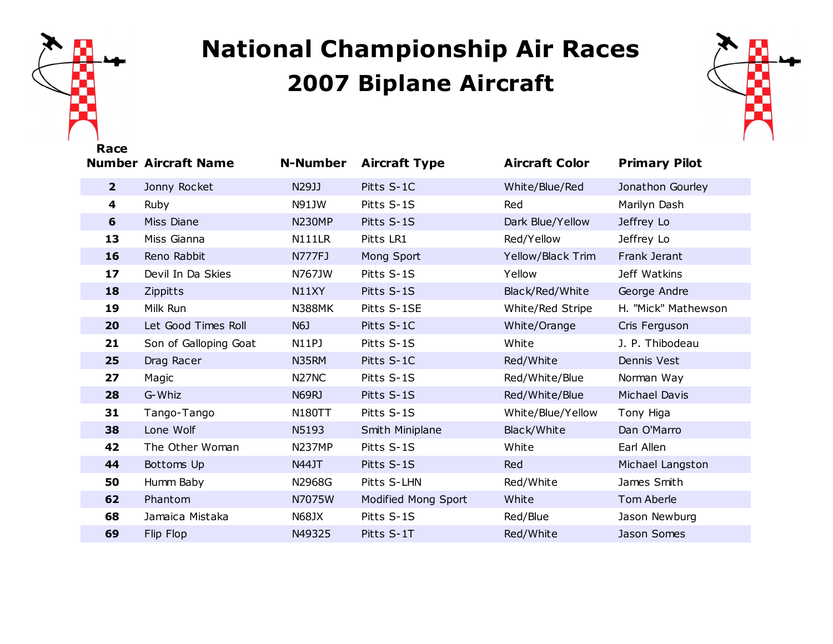

## **National Championship Air Races Biplane Aircraft**



| nacc           | <b>Number Aircraft Name</b> | <b>N-Number</b>                | <b>Aircraft Type</b> | <b>Aircraft Color</b> | <b>Primary Pilot</b> |
|----------------|-----------------------------|--------------------------------|----------------------|-----------------------|----------------------|
| 2 <sup>1</sup> | Jonny Rocket                | N29JJ                          | Pitts S-1C           | White/Blue/Red        | Jonathon Gourley     |
| 4              | Ruby                        | N91JW                          | Pitts S-1S           | Red                   | Marilyn Dash         |
| 6              | Miss Diane                  | <b>N230MP</b>                  | Pitts S-1S           | Dark Blue/Yellow      | Jeffrey Lo           |
| 13             | Miss Gianna                 | N111LR                         | Pitts LR1            | Red/Yellow            | Jeffrey Lo           |
| 16             | Reno Rabbit                 | <b>N777FJ</b>                  | Mong Sport           | Yellow/Black Trim     | Frank Jerant         |
| 17             | Devil In Da Skies           | N767JW                         | Pitts S-1S           | Yellow                | Jeff Watkins         |
| 18             | <b>Zippitts</b>             | N11XY                          | Pitts S-1S           | Black/Red/White       | George Andre         |
| 19             | Milk Run                    | <b>N388MK</b>                  | Pitts S-1SE          | White/Red Stripe      | H. "Mick" Mathewson  |
| 20             | Let Good Times Roll         | N6J                            | Pitts S-1C           | White/Orange          | Cris Ferguson        |
| 21             | Son of Galloping Goat       | <b>N11PJ</b>                   | Pitts S-1S           | White                 | J. P. Thibodeau      |
| 25             | Drag Racer                  | N35RM                          | Pitts S-1C           | Red/White             | Dennis Vest          |
| 27             | Magic                       | N <sub>27</sub> N <sub>C</sub> | Pitts S-1S           | Red/White/Blue        | Norman Way           |
| 28             | G-Whiz                      | N69RJ                          | Pitts S-1S           | Red/White/Blue        | <b>Michael Davis</b> |
| 31             | Tango-Tango                 | <b>N180TT</b>                  | Pitts S-1S           | White/Blue/Yellow     | Tony Higa            |
| 38             | Lone Wolf                   | N5193                          | Smith Miniplane      | Black/White           | Dan O'Marro          |
| 42             | The Other Woman             | <b>N237MP</b>                  | Pitts S-1S           | White                 | Earl Allen           |
| 44             | Bottoms Up                  | <b>N44JT</b>                   | Pitts S-1S           | Red                   | Michael Langston     |
| 50             | Humm Baby                   | N2968G                         | Pitts S-LHN          | Red/White             | James Smith          |
| 62             | Phantom                     | N7075W                         | Modified Mong Sport  | White                 | Tom Aberle           |
| 68             | Jamaica Mistaka             | <b>N68JX</b>                   | Pitts S-1S           | Red/Blue              | Jason Newburg        |
| 69             | Flip Flop                   | N49325                         | Pitts S-1T           | Red/White             | Jason Somes          |